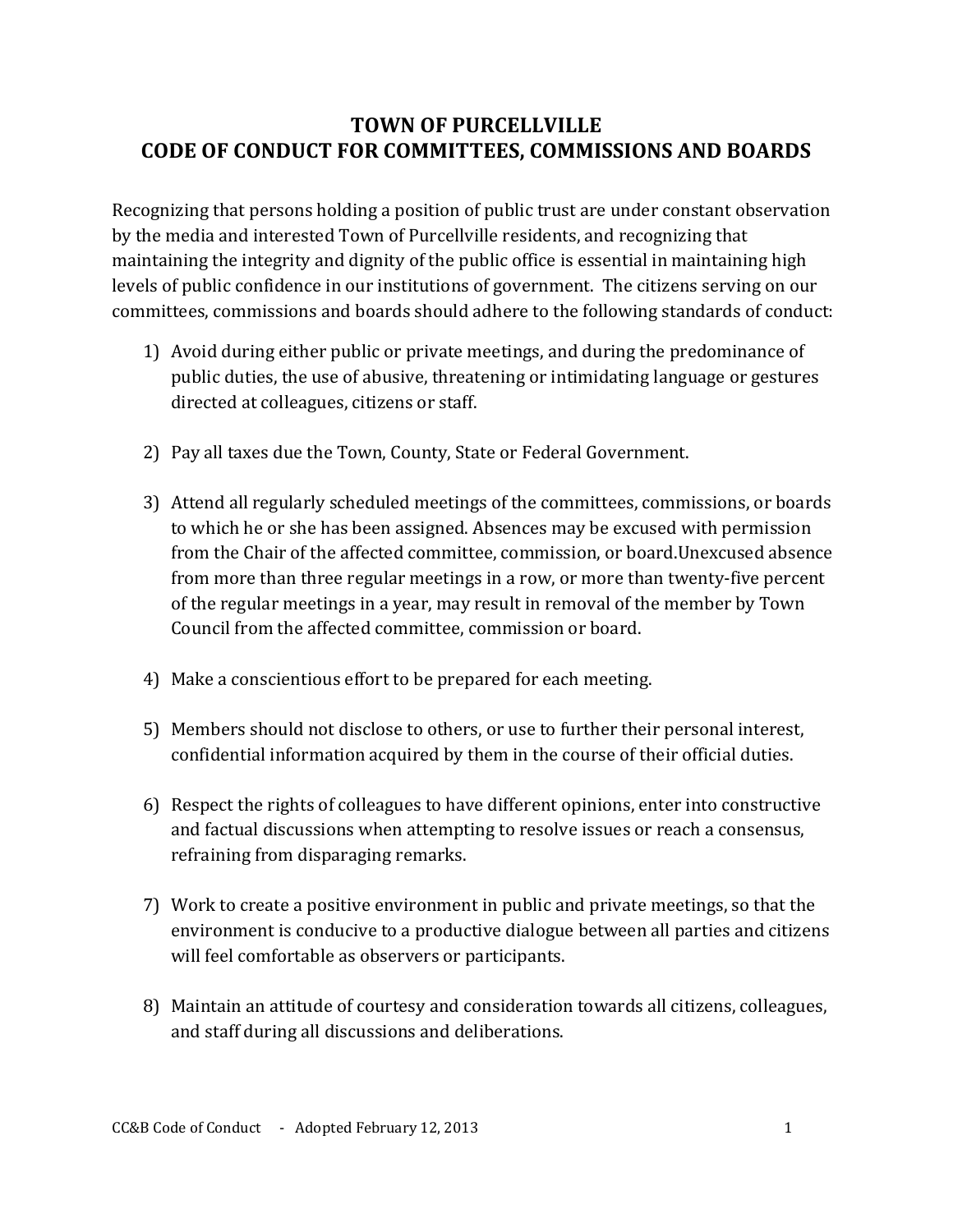## **TOWN OF PURCELLVILLE CODE OF CONDUCT FOR COMMITTEES, COMMISSIONS AND BOARDS**

Recognizing that persons holding a position of public trust are under constant observation by the media and interested Town of Purcellville residents, and recognizing that maintaining the integrity and dignity of the public office is essential in maintaining high levels of public confidence in our institutions of government. The citizens serving on our committees, commissions and boards should adhere to the following standards of conduct:

- 1) Avoid during either public or private meetings, and during the predominance of public duties, the use of abusive, threatening or intimidating language or gestures directed at colleagues, citizens or staff.
- 2) Pay all taxes due the Town, County, State or Federal Government.
- 3) Attend all regularly scheduled meetings of the committees, commissions, or boards to which he or she has been assigned. Absences may be excused with permission from the Chair of the affected committee, commission, or board.Unexcused absence from more than three regular meetings in a row, or more than twenty-five percent of the regular meetings in a year, may result in removal of the member by Town Council from the affected committee, commission or board.
- 4) Make a conscientious effort to be prepared for each meeting.
- 5) Members should not disclose to others, or use to further their personal interest, confidential information acquired by them in the course of their official duties.
- 6) Respect the rights of colleagues to have different opinions, enter into constructive and factual discussions when attempting to resolve issues or reach a consensus, refraining from disparaging remarks.
- 7) Work to create a positive environment in public and private meetings, so that the environment is conducive to a productive dialogue between all parties and citizens will feel comfortable as observers or participants.
- 8) Maintain an attitude of courtesy and consideration towards all citizens, colleagues, and staff during all discussions and deliberations.